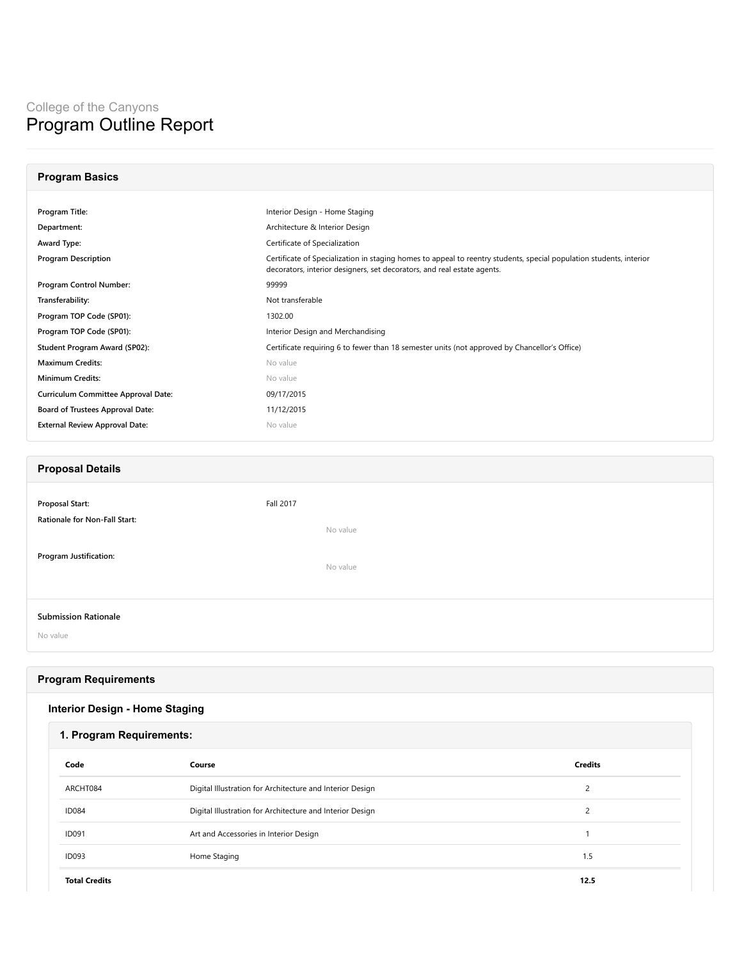# College of the Canyons Program Outline Report

# **Program Basics**

| Program Title:                        | Interior Design - Home Staging                                                                                                                                                                 |
|---------------------------------------|------------------------------------------------------------------------------------------------------------------------------------------------------------------------------------------------|
| Department:                           | Architecture & Interior Design                                                                                                                                                                 |
| Award Type:                           | Certificate of Specialization                                                                                                                                                                  |
| <b>Program Description</b>            | Certificate of Specialization in staging homes to appeal to reentry students, special population students, interior<br>decorators, interior designers, set decorators, and real estate agents. |
| Program Control Number:               | 99999                                                                                                                                                                                          |
| Transferability:                      | Not transferable                                                                                                                                                                               |
| Program TOP Code (SP01):              | 1302.00                                                                                                                                                                                        |
| Program TOP Code (SP01):              | Interior Design and Merchandising                                                                                                                                                              |
| Student Program Award (SP02):         | Certificate requiring 6 to fewer than 18 semester units (not approved by Chancellor's Office)                                                                                                  |
| <b>Maximum Credits:</b>               | No value                                                                                                                                                                                       |
| <b>Minimum Credits:</b>               | No value                                                                                                                                                                                       |
| Curriculum Committee Approval Date:   | 09/17/2015                                                                                                                                                                                     |
| Board of Trustees Approval Date:      | 11/12/2015                                                                                                                                                                                     |
| <b>External Review Approval Date:</b> | No value                                                                                                                                                                                       |
|                                       |                                                                                                                                                                                                |

### **Proposal Details**

| Proposal Start:                         | Fall 2017 |
|-----------------------------------------|-----------|
| Rationale for Non-Fall Start:           | No value  |
| <b>Program Justification:</b>           | No value  |
| <b>Submission Rationale</b><br>No value |           |

#### **Program Requirements**

| <b>Interior Design - Home Staging</b> |  |
|---------------------------------------|--|
|---------------------------------------|--|

| 1. Program Requirements: |                                                           |                |
|--------------------------|-----------------------------------------------------------|----------------|
| Code                     | Course                                                    | <b>Credits</b> |
| ARCHT084                 | Digital Illustration for Architecture and Interior Design | 2              |
| <b>ID084</b>             | Digital Illustration for Architecture and Interior Design | 2              |
| <b>ID091</b>             | Art and Accessories in Interior Design                    |                |
| <b>ID093</b>             | Home Staging                                              | 1.5            |
| <b>Total Credits</b>     |                                                           | 12.5           |